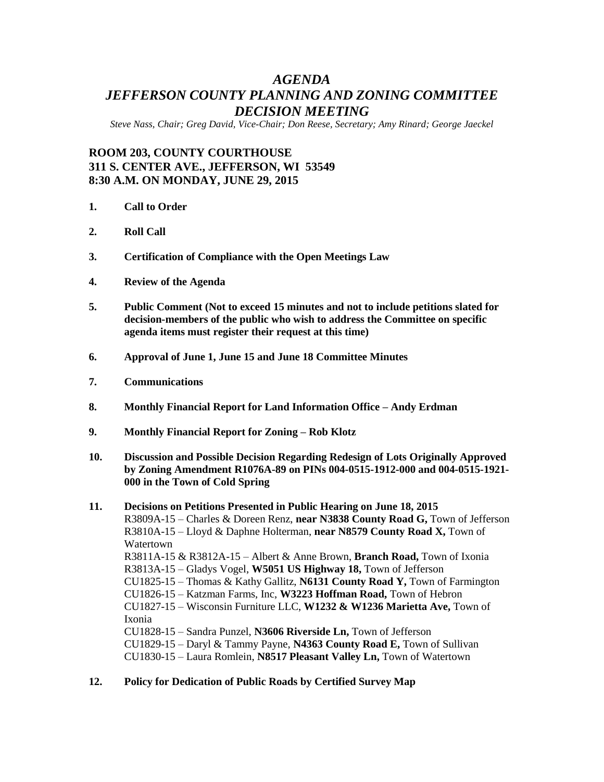# *AGENDA JEFFERSON COUNTY PLANNING AND ZONING COMMITTEE DECISION MEETING*

*Steve Nass, Chair; Greg David, Vice-Chair; Don Reese, Secretary; Amy Rinard; George Jaeckel*

# **ROOM 203, COUNTY COURTHOUSE 311 S. CENTER AVE., JEFFERSON, WI 53549 8:30 A.M. ON MONDAY, JUNE 29, 2015**

- **1. Call to Order**
- **2. Roll Call**
- **3. Certification of Compliance with the Open Meetings Law**
- **4. Review of the Agenda**
- **5. Public Comment (Not to exceed 15 minutes and not to include petitions slated for decision-members of the public who wish to address the Committee on specific agenda items must register their request at this time)**
- **6. Approval of June 1, June 15 and June 18 Committee Minutes**
- **7. Communications**
- **8. Monthly Financial Report for Land Information Office – Andy Erdman**
- **9. Monthly Financial Report for Zoning – Rob Klotz**
- **10. Discussion and Possible Decision Regarding Redesign of Lots Originally Approved by Zoning Amendment R1076A-89 on PINs 004-0515-1912-000 and 004-0515-1921- 000 in the Town of Cold Spring**
- **11. Decisions on Petitions Presented in Public Hearing on June 18, 2015** R3809A-15 – Charles & Doreen Renz, **near N3838 County Road G,** Town of Jefferson R3810A-15 – Lloyd & Daphne Holterman, **near N8579 County Road X,** Town of Watertown R3811A-15 & R3812A-15 – Albert & Anne Brown, **Branch Road,** Town of Ixonia R3813A-15 – Gladys Vogel, **W5051 US Highway 18,** Town of Jefferson CU1825-15 – Thomas & Kathy Gallitz, **N6131 County Road Y,** Town of Farmington CU1826-15 – Katzman Farms, Inc, **W3223 Hoffman Road,** Town of Hebron CU1827-15 – Wisconsin Furniture LLC, **W1232 & W1236 Marietta Ave,** Town of Ixonia CU1828-15 – Sandra Punzel, **N3606 Riverside Ln,** Town of Jefferson CU1829-15 – Daryl & Tammy Payne, **N4363 County Road E,** Town of Sullivan CU1830-15 – Laura Romlein, **N8517 Pleasant Valley Ln,** Town of Watertown
- **12. Policy for Dedication of Public Roads by Certified Survey Map**